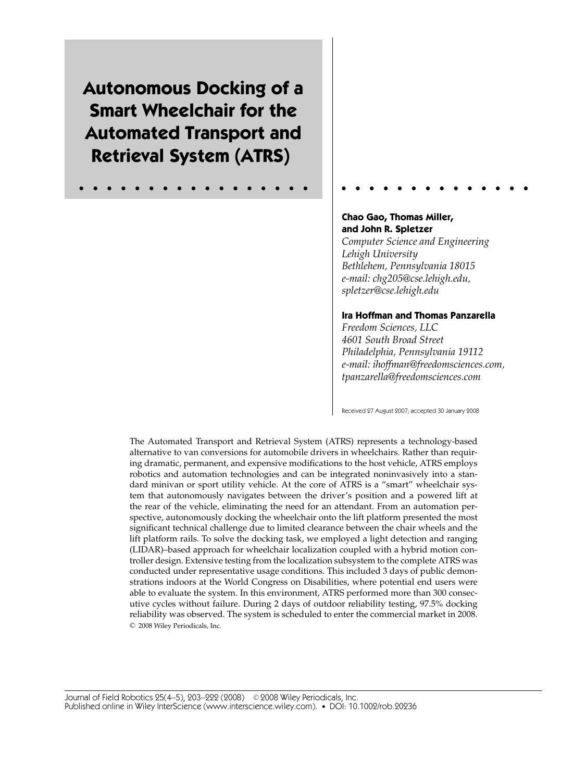**Autonomous Docking of a Smart Wheelchair for the Automated Transport and Retrieval System (ATRS)**

**Chao Gao, Thomas Miller,**

**and John R. Spletzer** *Computer Science and Engineering Lehigh University Bethlehem, Pennsylvania 18015 e-mail: chg205@cse.lehigh.edu, spletzer@cse.lehigh.edu*

### **Ira Hoffman and Thomas Panzarella**

*Freedom Sciences, LLC 4601 South Broad Street Philadelphia, Pennsylvania 19112 e-mail: ihoffman@freedomsciences.com, tpanzarella@freedomsciences.com*

Received 27 August 2007; accepted 30 January 2008

The Automated Transport and Retrieval System (ATRS) represents a technology-based alternative to van conversions for automobile drivers in wheelchairs. Rather than requiring dramatic, permanent, and expensive modifications to the host vehicle, ATRS employs robotics and automation technologies and can be integrated noninvasively into a standard minivan or sport utility vehicle. At the core of ATRS is a "smart" wheelchair system that autonomously navigates between the driver's position and a powered lift at the rear of the vehicle, eliminating the need for an attendant. From an automation perspective, autonomously docking the wheelchair onto the lift platform presented the most significant technical challenge due to limited clearance between the chair wheels and the lift platform rails. To solve the docking task, we employed a light detection and ranging (LIDAR)–based approach for wheelchair localization coupled with a hybrid motion controller design. Extensive testing from the localization subsystem to the complete ATRS was conducted under representative usage conditions. This included 3 days of public demonstrations indoors at the World Congress on Disabilities, where potential end users were able to evaluate the system. In this environment, ATRS performed more than 300 consecutive cycles without failure. During 2 days of outdoor reliability testing, 97.5% docking reliability was observed. The system is scheduled to enter the commercial market in 2008. <sup>C</sup> 2008 Wiley Periodicals, Inc.

••••••••••••••••• ••••••••••••••

Journal of Field Robotics 25(4–5), 203–222 (2008) © 2008 Wiley Periodicals, Inc. Published online in Wiley InterScience (www.interscience.wiley.com). • DOI: 10.1002/rob.20236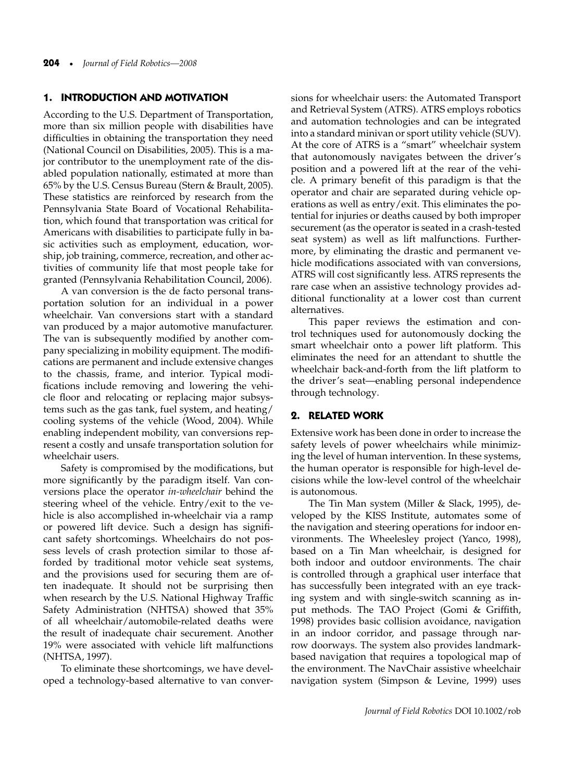## **1. INTRODUCTION AND MOTIVATION**

According to the U.S. Department of Transportation, more than six million people with disabilities have difficulties in obtaining the transportation they need (National Council on Disabilities, 2005). This is a major contributor to the unemployment rate of the disabled population nationally, estimated at more than 65% by the U.S. Census Bureau (Stern & Brault, 2005). These statistics are reinforced by research from the Pennsylvania State Board of Vocational Rehabilitation, which found that transportation was critical for Americans with disabilities to participate fully in basic activities such as employment, education, worship, job training, commerce, recreation, and other activities of community life that most people take for granted (Pennsylvania Rehabilitation Council, 2006).

A van conversion is the de facto personal transportation solution for an individual in a power wheelchair. Van conversions start with a standard van produced by a major automotive manufacturer. The van is subsequently modified by another company specializing in mobility equipment. The modifications are permanent and include extensive changes to the chassis, frame, and interior. Typical modifications include removing and lowering the vehicle floor and relocating or replacing major subsystems such as the gas tank, fuel system, and heating/ cooling systems of the vehicle (Wood, 2004). While enabling independent mobility, van conversions represent a costly and unsafe transportation solution for wheelchair users.

Safety is compromised by the modifications, but more significantly by the paradigm itself. Van conversions place the operator *in-wheelchair* behind the steering wheel of the vehicle. Entry/exit to the vehicle is also accomplished in-wheelchair via a ramp or powered lift device. Such a design has significant safety shortcomings. Wheelchairs do not possess levels of crash protection similar to those afforded by traditional motor vehicle seat systems, and the provisions used for securing them are often inadequate. It should not be surprising then when research by the U.S. National Highway Traffic Safety Administration (NHTSA) showed that 35% of all wheelchair/automobile-related deaths were the result of inadequate chair securement. Another 19% were associated with vehicle lift malfunctions (NHTSA, 1997).

To eliminate these shortcomings, we have developed a technology-based alternative to van conversions for wheelchair users: the Automated Transport and Retrieval System (ATRS). ATRS employs robotics and automation technologies and can be integrated into a standard minivan or sport utility vehicle (SUV). At the core of ATRS is a "smart" wheelchair system that autonomously navigates between the driver's position and a powered lift at the rear of the vehicle. A primary benefit of this paradigm is that the operator and chair are separated during vehicle operations as well as entry/exit. This eliminates the potential for injuries or deaths caused by both improper securement (as the operator is seated in a crash-tested seat system) as well as lift malfunctions. Furthermore, by eliminating the drastic and permanent vehicle modifications associated with van conversions, ATRS will cost significantly less. ATRS represents the rare case when an assistive technology provides additional functionality at a lower cost than current alternatives.

This paper reviews the estimation and control techniques used for autonomously docking the smart wheelchair onto a power lift platform. This eliminates the need for an attendant to shuttle the wheelchair back-and-forth from the lift platform to the driver's seat—enabling personal independence through technology.

### **2. RELATED WORK**

Extensive work has been done in order to increase the safety levels of power wheelchairs while minimizing the level of human intervention. In these systems, the human operator is responsible for high-level decisions while the low-level control of the wheelchair is autonomous.

The Tin Man system (Miller & Slack, 1995), developed by the KISS Institute, automates some of the navigation and steering operations for indoor environments. The Wheelesley project (Yanco, 1998), based on a Tin Man wheelchair, is designed for both indoor and outdoor environments. The chair is controlled through a graphical user interface that has successfully been integrated with an eye tracking system and with single-switch scanning as input methods. The TAO Project (Gomi & Griffith, 1998) provides basic collision avoidance, navigation in an indoor corridor, and passage through narrow doorways. The system also provides landmarkbased navigation that requires a topological map of the environment. The NavChair assistive wheelchair navigation system (Simpson & Levine, 1999) uses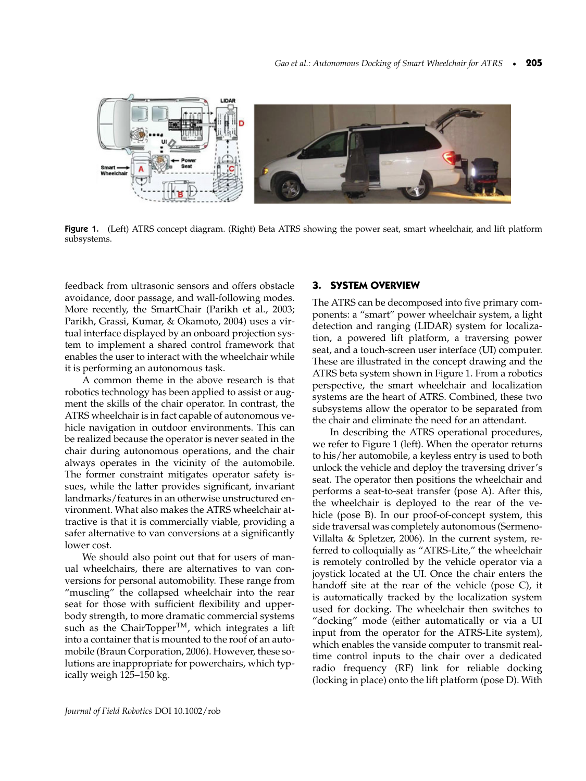

Figure 1. (Left) ATRS concept diagram. (Right) Beta ATRS showing the power seat, smart wheelchair, and lift platform subsystems.

feedback from ultrasonic sensors and offers obstacle avoidance, door passage, and wall-following modes. More recently, the SmartChair (Parikh et al., 2003; Parikh, Grassi, Kumar, & Okamoto, 2004) uses a virtual interface displayed by an onboard projection system to implement a shared control framework that enables the user to interact with the wheelchair while it is performing an autonomous task.

A common theme in the above research is that robotics technology has been applied to assist or augment the skills of the chair operator. In contrast, the ATRS wheelchair is in fact capable of autonomous vehicle navigation in outdoor environments. This can be realized because the operator is never seated in the chair during autonomous operations, and the chair always operates in the vicinity of the automobile. The former constraint mitigates operator safety issues, while the latter provides significant, invariant landmarks/features in an otherwise unstructured environment. What also makes the ATRS wheelchair attractive is that it is commercially viable, providing a safer alternative to van conversions at a significantly lower cost.

We should also point out that for users of manual wheelchairs, there are alternatives to van conversions for personal automobility. These range from "muscling" the collapsed wheelchair into the rear seat for those with sufficient flexibility and upperbody strength, to more dramatic commercial systems such as the ChairTopper<sup>TM</sup>, which integrates a lift into a container that is mounted to the roof of an automobile (Braun Corporation, 2006). However, these solutions are inappropriate for powerchairs, which typically weigh 125–150 kg.

### **3. SYSTEM OVERVIEW**

The ATRS can be decomposed into five primary components: a "smart" power wheelchair system, a light detection and ranging (LIDAR) system for localization, a powered lift platform, a traversing power seat, and a touch-screen user interface (UI) computer. These are illustrated in the concept drawing and the ATRS beta system shown in Figure 1. From a robotics perspective, the smart wheelchair and localization systems are the heart of ATRS. Combined, these two subsystems allow the operator to be separated from the chair and eliminate the need for an attendant.

In describing the ATRS operational procedures, we refer to Figure 1 (left). When the operator returns to his/her automobile, a keyless entry is used to both unlock the vehicle and deploy the traversing driver's seat. The operator then positions the wheelchair and performs a seat-to-seat transfer (pose A). After this, the wheelchair is deployed to the rear of the vehicle (pose B). In our proof-of-concept system, this side traversal was completely autonomous (Sermeno-Villalta & Spletzer, 2006). In the current system, referred to colloquially as "ATRS-Lite," the wheelchair is remotely controlled by the vehicle operator via a joystick located at the UI. Once the chair enters the handoff site at the rear of the vehicle (pose C), it is automatically tracked by the localization system used for docking. The wheelchair then switches to "docking" mode (either automatically or via a UI input from the operator for the ATRS-Lite system), which enables the vanside computer to transmit realtime control inputs to the chair over a dedicated radio frequency (RF) link for reliable docking (locking in place) onto the lift platform (pose D). With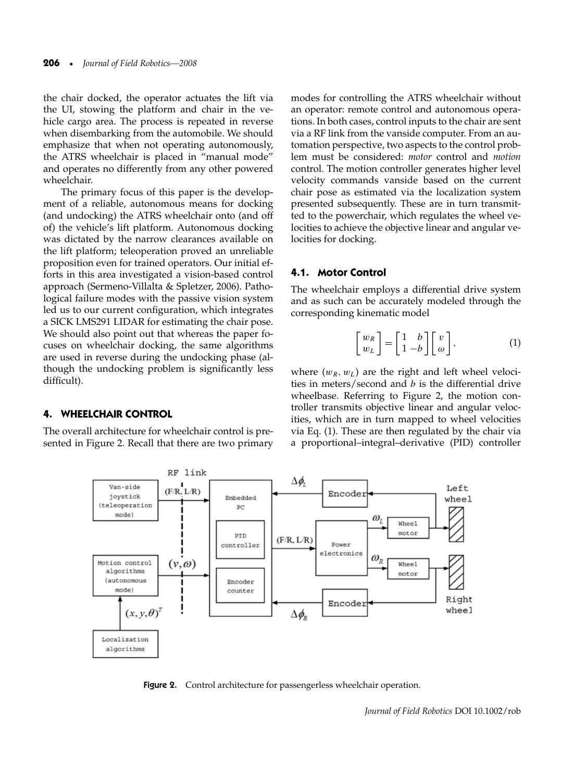the chair docked, the operator actuates the lift via the UI, stowing the platform and chair in the vehicle cargo area. The process is repeated in reverse when disembarking from the automobile. We should emphasize that when not operating autonomously, the ATRS wheelchair is placed in "manual mode" and operates no differently from any other powered wheelchair.

The primary focus of this paper is the development of a reliable, autonomous means for docking (and undocking) the ATRS wheelchair onto (and off of) the vehicle's lift platform. Autonomous docking was dictated by the narrow clearances available on the lift platform; teleoperation proved an unreliable proposition even for trained operators. Our initial efforts in this area investigated a vision-based control approach (Sermeno-Villalta & Spletzer, 2006). Pathological failure modes with the passive vision system led us to our current configuration, which integrates a SICK LMS291 LIDAR for estimating the chair pose. We should also point out that whereas the paper focuses on wheelchair docking, the same algorithms are used in reverse during the undocking phase (although the undocking problem is significantly less difficult).

## modes for controlling the ATRS wheelchair without an operator: remote control and autonomous operations. In both cases, control inputs to the chair are sent via a RF link from the vanside computer. From an automation perspective, two aspects to the control problem must be considered: *motor* control and *motion* control. The motion controller generates higher level velocity commands vanside based on the current chair pose as estimated via the localization system presented subsequently. These are in turn transmitted to the powerchair, which regulates the wheel velocities to achieve the objective linear and angular velocities for docking.

### **4.1. Motor Control**

The wheelchair employs a differential drive system and as such can be accurately modeled through the corresponding kinematic model

$$
\begin{bmatrix} w_R \\ w_L \end{bmatrix} = \begin{bmatrix} 1 & b \\ 1 & -b \end{bmatrix} \begin{bmatrix} v \\ \omega \end{bmatrix}, \tag{1}
$$

where  $(w_R, w_L)$  are the right and left wheel velocities in meters/second and *b* is the differential drive wheelbase. Referring to Figure 2, the motion controller transmits objective linear and angular velocities, which are in turn mapped to wheel velocities via Eq. (1). These are then regulated by the chair via a proportional–integral–derivative (PID) controller



Figure 2. Control architecture for passengerless wheelchair operation.

*Journal of Field Robotics* DOI 10.1002/rob

# **4. WHEELCHAIR CONTROL**

The overall architecture for wheelchair control is presented in Figure 2. Recall that there are two primary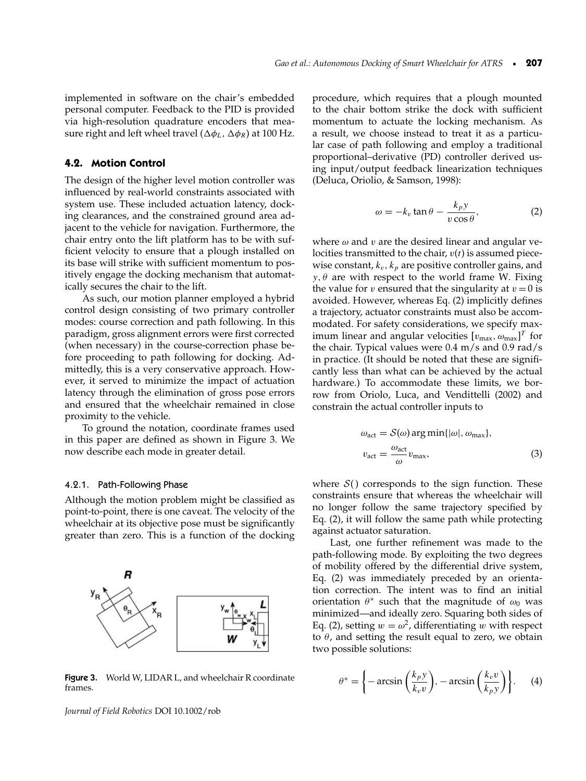implemented in software on the chair's embedded personal computer. Feedback to the PID is provided via high-resolution quadrature encoders that mea- $\sup$  right and left wheel travel ( $\Delta\phi_L$ ,  $\Delta\phi_R$ ) at 100 Hz.

## **4.2. Motion Control**

The design of the higher level motion controller was influenced by real-world constraints associated with system use. These included actuation latency, docking clearances, and the constrained ground area adjacent to the vehicle for navigation. Furthermore, the chair entry onto the lift platform has to be with sufficient velocity to ensure that a plough installed on its base will strike with sufficient momentum to positively engage the docking mechanism that automatically secures the chair to the lift.

As such, our motion planner employed a hybrid control design consisting of two primary controller modes: course correction and path following. In this paradigm, gross alignment errors were first corrected (when necessary) in the course-correction phase before proceeding to path following for docking. Admittedly, this is a very conservative approach. However, it served to minimize the impact of actuation latency through the elimination of gross pose errors and ensured that the wheelchair remained in close proximity to the vehicle.

To ground the notation, coordinate frames used in this paper are defined as shown in Figure 3. We now describe each mode in greater detail.

#### 4.2.1. Path-Following Phase

Although the motion problem might be classified as point-to-point, there is one caveat. The velocity of the wheelchair at its objective pose must be significantly greater than zero. This is a function of the docking



Figure 3. World W, LIDAR L, and wheelchair R coordinate frames.

*Journal of Field Robotics* DOI 10.1002/rob

procedure, which requires that a plough mounted to the chair bottom strike the dock with sufficient momentum to actuate the locking mechanism. As a result, we choose instead to treat it as a particular case of path following and employ a traditional proportional–derivative (PD) controller derived using input/output feedback linearization techniques (Deluca, Oriolio, & Samson, 1998):

$$
\omega = -k_v \tan \theta - \frac{k_p y}{v \cos \theta}, \qquad (2)
$$

where *ω* and *v* are the desired linear and angular velocities transmitted to the chair, *v*(*t*) is assumed piecewise constant,  $k_v$ ,  $k_p$  are positive controller gains, and  $y, \theta$  are with respect to the world frame W. Fixing the value for *v* ensured that the singularity at  $v = 0$  is avoided. However, whereas Eq. (2) implicitly defines a trajectory, actuator constraints must also be accommodated. For safety considerations, we specify maximum linear and angular velocities  $[v_{\rm max}, \omega_{\rm max}]^T$  for the chair. Typical values were 0.4 m/s and 0.9 rad/s in practice. (It should be noted that these are significantly less than what can be achieved by the actual hardware.) To accommodate these limits, we borrow from Oriolo, Luca, and Vendittelli (2002) and constrain the actual controller inputs to

$$
\omega_{\text{act}} = S(\omega) \arg \min \{ |\omega|, \omega_{\text{max}} \},
$$
  

$$
v_{\text{act}} = \frac{\omega_{\text{act}}}{\omega} v_{\text{max}},
$$
 (3)

where  $\mathcal{S}($ ) corresponds to the sign function. These constraints ensure that whereas the wheelchair will no longer follow the same trajectory specified by Eq. (2), it will follow the same path while protecting against actuator saturation.

Last, one further refinement was made to the path-following mode. By exploiting the two degrees of mobility offered by the differential drive system, Eq. (2) was immediately preceded by an orientation correction. The intent was to find an initial orientation  $\theta^*$  such that the magnitude of  $\omega_0$  was minimized—and ideally zero. Squaring both sides of Eq. (2), setting  $w = \omega^2$ , differentiating *w* with respect to *θ*, and setting the result equal to zero, we obtain two possible solutions:

$$
\theta^* = \left\{ -\arcsin\left(\frac{k_p y}{k_v v}\right), -\arcsin\left(\frac{k_v v}{k_p y}\right) \right\}.
$$
 (4)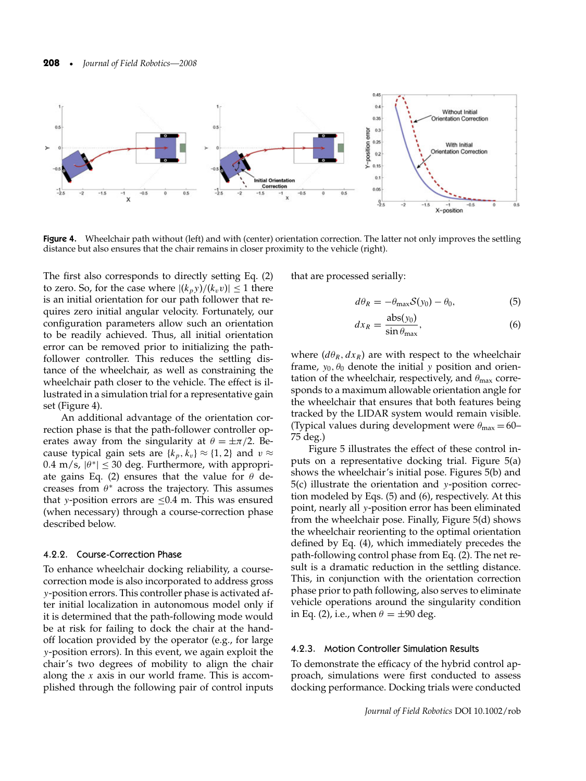

Figure 4. Wheelchair path without (left) and with (center) orientation correction. The latter not only improves the settling distance but also ensures that the chair remains in closer proximity to the vehicle (right).

The first also corresponds to directly setting Eq. (2) to zero. So, for the case where  $|(k_p y)/(k_v v)| \leq 1$  there is an initial orientation for our path follower that requires zero initial angular velocity. Fortunately, our configuration parameters allow such an orientation to be readily achieved. Thus, all initial orientation error can be removed prior to initializing the pathfollower controller. This reduces the settling distance of the wheelchair, as well as constraining the wheelchair path closer to the vehicle. The effect is illustrated in a simulation trial for a representative gain set (Figure 4).

An additional advantage of the orientation correction phase is that the path-follower controller operates away from the singularity at  $\theta = \pm \pi/2$ . Because typical gain sets are  ${k_p, k_v} \approx {1, 2}$  and  $v \approx$ 0.4 m/s,  $|\theta^*| \le 30$  deg. Furthermore, with appropriate gains Eq. (2) ensures that the value for *θ* decreases from  $\theta^*$  across the trajectory. This assumes that *y*-position errors are  $\leq 0.4$  m. This was ensured (when necessary) through a course-correction phase described below.

#### 4.2.2. Course-Correction Phase

To enhance wheelchair docking reliability, a coursecorrection mode is also incorporated to address gross *y*-position errors. This controller phase is activated after initial localization in autonomous model only if it is determined that the path-following mode would be at risk for failing to dock the chair at the handoff location provided by the operator (e.g., for large *y*-position errors). In this event, we again exploit the chair's two degrees of mobility to align the chair along the *x* axis in our world frame. This is accomplished through the following pair of control inputs that are processed serially:

$$
d\theta_R = -\theta_{\text{max}} S(y_0) - \theta_0, \tag{5}
$$

$$
dx_R = \frac{\text{abs}(y_0)}{\sin \theta_{\text{max}}},\tag{6}
$$

where  $(d\theta_R, dx_R)$  are with respect to the wheelchair frame,  $y_0$ ,  $\theta_0$  denote the initial *y* position and orientation of the wheelchair, respectively, and *θ*max corresponds to a maximum allowable orientation angle for the wheelchair that ensures that both features being tracked by the LIDAR system would remain visible. (Typical values during development were  $\theta_{\text{max}} = 60 -$ 75 deg.)

Figure 5 illustrates the effect of these control inputs on a representative docking trial. Figure 5(a) shows the wheelchair's initial pose. Figures 5(b) and 5(c) illustrate the orientation and *y*-position correction modeled by Eqs. (5) and (6), respectively. At this point, nearly all *y*-position error has been eliminated from the wheelchair pose. Finally, Figure 5(d) shows the wheelchair reorienting to the optimal orientation defined by Eq. (4), which immediately precedes the path-following control phase from Eq. (2). The net result is a dramatic reduction in the settling distance. This, in conjunction with the orientation correction phase prior to path following, also serves to eliminate vehicle operations around the singularity condition in Eq. (2), i.e., when  $\theta = \pm 90$  deg.

#### 4.2.3. Motion Controller Simulation Results

To demonstrate the efficacy of the hybrid control approach, simulations were first conducted to assess docking performance. Docking trials were conducted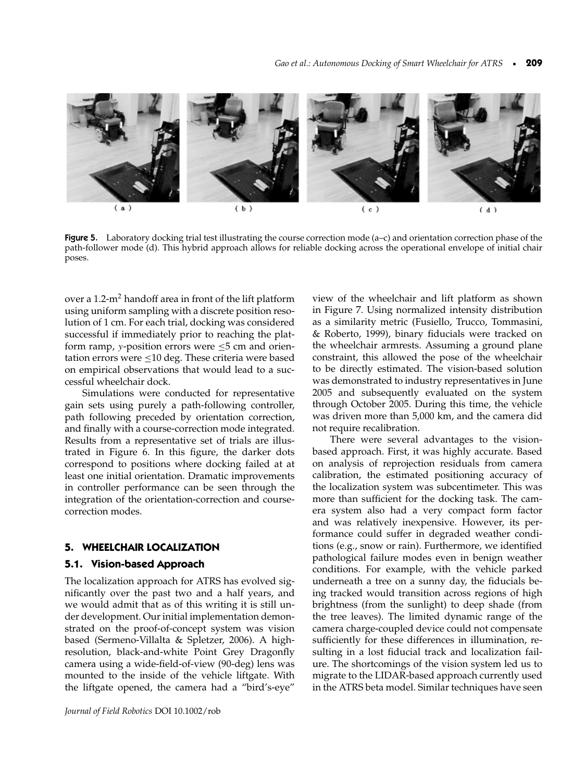

Figure 5. Laboratory docking trial test illustrating the course correction mode  $(a-c)$  and orientation correction phase of the path-follower mode (d). This hybrid approach allows for reliable docking across the operational envelope of initial chair poses.

over a 1.2- $m<sup>2</sup>$  handoff area in front of the lift platform using uniform sampling with a discrete position resolution of 1 cm. For each trial, docking was considered successful if immediately prior to reaching the platform ramp, *y*-position errors were  $\leq$ 5 cm and orientation errors were ≤10 deg. These criteria were based on empirical observations that would lead to a successful wheelchair dock.

Simulations were conducted for representative gain sets using purely a path-following controller, path following preceded by orientation correction, and finally with a course-correction mode integrated. Results from a representative set of trials are illustrated in Figure 6. In this figure, the darker dots correspond to positions where docking failed at at least one initial orientation. Dramatic improvements in controller performance can be seen through the integration of the orientation-correction and coursecorrection modes.

### **5. WHEELCHAIR LOCALIZATION**

#### **5.1. Vision-based Approach**

The localization approach for ATRS has evolved significantly over the past two and a half years, and we would admit that as of this writing it is still under development. Our initial implementation demonstrated on the proof-of-concept system was vision based (Sermeno-Villalta & Spletzer, 2006). A highresolution, black-and-white Point Grey Dragonfly camera using a wide-field-of-view (90-deg) lens was mounted to the inside of the vehicle liftgate. With the liftgate opened, the camera had a "bird's-eye"

view of the wheelchair and lift platform as shown in Figure 7. Using normalized intensity distribution as a similarity metric (Fusiello, Trucco, Tommasini, & Roberto, 1999), binary fiducials were tracked on the wheelchair armrests. Assuming a ground plane constraint, this allowed the pose of the wheelchair to be directly estimated. The vision-based solution was demonstrated to industry representatives in June 2005 and subsequently evaluated on the system through October 2005. During this time, the vehicle was driven more than 5,000 km, and the camera did not require recalibration.

There were several advantages to the visionbased approach. First, it was highly accurate. Based on analysis of reprojection residuals from camera calibration, the estimated positioning accuracy of the localization system was subcentimeter. This was more than sufficient for the docking task. The camera system also had a very compact form factor and was relatively inexpensive. However, its performance could suffer in degraded weather conditions (e.g., snow or rain). Furthermore, we identified pathological failure modes even in benign weather conditions. For example, with the vehicle parked underneath a tree on a sunny day, the fiducials being tracked would transition across regions of high brightness (from the sunlight) to deep shade (from the tree leaves). The limited dynamic range of the camera charge-coupled device could not compensate sufficiently for these differences in illumination, resulting in a lost fiducial track and localization failure. The shortcomings of the vision system led us to migrate to the LIDAR-based approach currently used in the ATRS beta model. Similar techniques have seen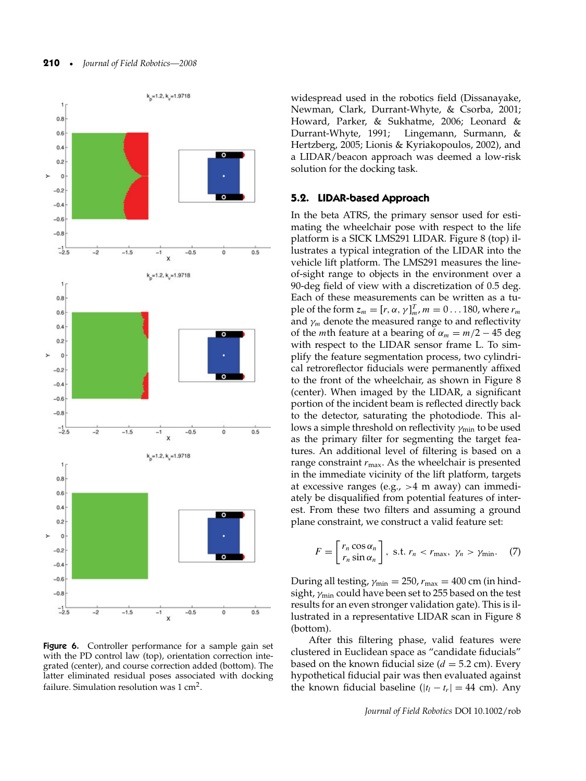

**Figure 6.** Controller performance for a sample gain set with the PD control law (top), orientation correction integrated (center), and course correction added (bottom). The latter eliminated residual poses associated with docking failure. Simulation resolution was  $1 \text{ cm}^2$ .

widespread used in the robotics field (Dissanayake, Newman, Clark, Durrant-Whyte, & Csorba, 2001; Howard, Parker, & Sukhatme, 2006; Leonard & Durrant-Whyte, 1991; Lingemann, Surmann, & Hertzberg, 2005; Lionis & Kyriakopoulos, 2002), and a LIDAR/beacon approach was deemed a low-risk solution for the docking task.

#### **5.2. LIDAR-based Approach**

In the beta ATRS, the primary sensor used for estimating the wheelchair pose with respect to the life platform is a SICK LMS291 LIDAR. Figure 8 (top) illustrates a typical integration of the LIDAR into the vehicle lift platform. The LMS291 measures the lineof-sight range to objects in the environment over a 90-deg field of view with a discretization of 0.5 deg. Each of these measurements can be written as a tuple of the form  $z_m = [r, \alpha, \gamma]_{m}^T$ ,  $m = 0 \dots 180$ , where  $r_m$ and  $\gamma_m$  denote the measured range to and reflectivity of the *m*th feature at a bearing of  $\alpha_m = m/2 - 45$  deg with respect to the LIDAR sensor frame L. To simplify the feature segmentation process, two cylindrical retroreflector fiducials were permanently affixed to the front of the wheelchair, as shown in Figure 8 (center). When imaged by the LIDAR, a significant portion of the incident beam is reflected directly back to the detector, saturating the photodiode. This allows a simple threshold on reflectivity γ<sub>min</sub> to be used as the primary filter for segmenting the target features. An additional level of filtering is based on a range constraint  $r_{\text{max}}$ . As the wheelchair is presented in the immediate vicinity of the lift platform, targets at excessive ranges (e.g., *>*4 m away) can immediately be disqualified from potential features of interest. From these two filters and assuming a ground plane constraint, we construct a valid feature set:

$$
F = \begin{bmatrix} r_n \cos \alpha_n \\ r_n \sin \alpha_n \end{bmatrix}, \text{ s.t. } r_n < r_{\text{max}}, \ \gamma_n > \gamma_{\text{min}}. \tag{7}
$$

During all testing,  $\gamma_{\text{min}} = 250$ ,  $r_{\text{max}} = 400$  cm (in hindsight, *γ*min could have been set to 255 based on the test results for an even stronger validation gate). This is illustrated in a representative LIDAR scan in Figure 8 (bottom).

After this filtering phase, valid features were clustered in Euclidean space as "candidate fiducials" based on the known fiducial size  $(d = 5.2 \text{ cm})$ . Every hypothetical fiducial pair was then evaluated against the known fiducial baseline ( $|t_l - t_r| = 44$  cm). Any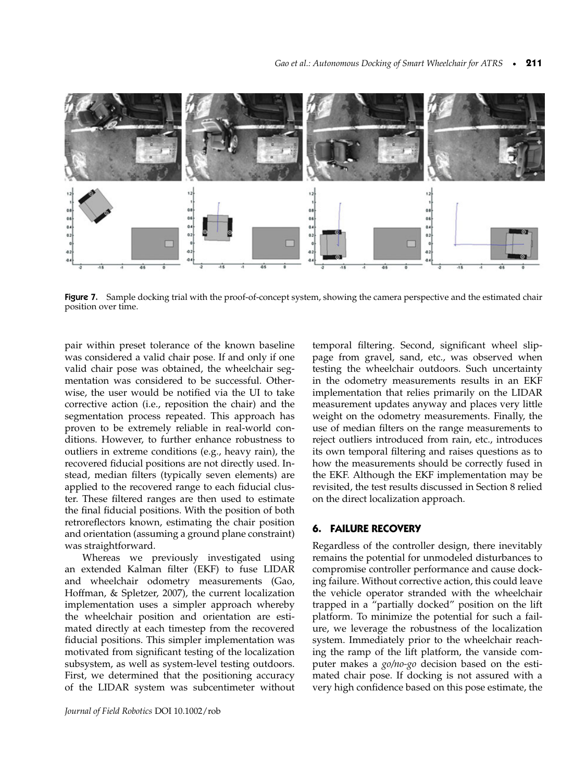

Figure 7. Sample docking trial with the proof-of-concept system, showing the camera perspective and the estimated chair position over time.

pair within preset tolerance of the known baseline was considered a valid chair pose. If and only if one valid chair pose was obtained, the wheelchair segmentation was considered to be successful. Otherwise, the user would be notified via the UI to take corrective action (i.e., reposition the chair) and the segmentation process repeated. This approach has proven to be extremely reliable in real-world conditions. However, to further enhance robustness to outliers in extreme conditions (e.g., heavy rain), the recovered fiducial positions are not directly used. Instead, median filters (typically seven elements) are applied to the recovered range to each fiducial cluster. These filtered ranges are then used to estimate the final fiducial positions. With the position of both retroreflectors known, estimating the chair position and orientation (assuming a ground plane constraint) was straightforward.

Whereas we previously investigated using an extended Kalman filter (EKF) to fuse LIDAR and wheelchair odometry measurements (Gao, Hoffman, & Spletzer, 2007), the current localization implementation uses a simpler approach whereby the wheelchair position and orientation are estimated directly at each timestep from the recovered fiducial positions. This simpler implementation was motivated from significant testing of the localization subsystem, as well as system-level testing outdoors. First, we determined that the positioning accuracy of the LIDAR system was subcentimeter without temporal filtering. Second, significant wheel slippage from gravel, sand, etc., was observed when testing the wheelchair outdoors. Such uncertainty in the odometry measurements results in an EKF implementation that relies primarily on the LIDAR measurement updates anyway and places very little weight on the odometry measurements. Finally, the use of median filters on the range measurements to reject outliers introduced from rain, etc., introduces its own temporal filtering and raises questions as to how the measurements should be correctly fused in the EKF. Although the EKF implementation may be revisited, the test results discussed in Section 8 relied on the direct localization approach.

### **6. FAILURE RECOVERY**

Regardless of the controller design, there inevitably remains the potential for unmodeled disturbances to compromise controller performance and cause docking failure. Without corrective action, this could leave the vehicle operator stranded with the wheelchair trapped in a "partially docked" position on the lift platform. To minimize the potential for such a failure, we leverage the robustness of the localization system. Immediately prior to the wheelchair reaching the ramp of the lift platform, the vanside computer makes a *go/no-go* decision based on the estimated chair pose. If docking is not assured with a very high confidence based on this pose estimate, the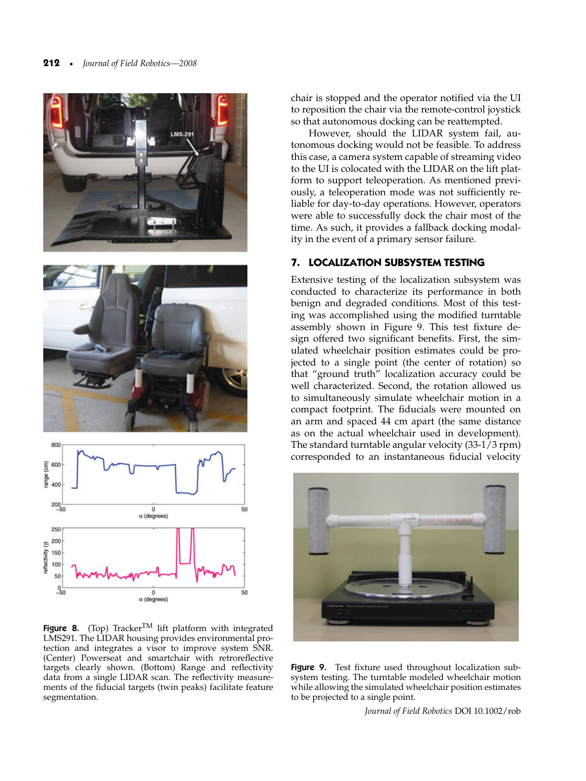





Figure 8. (Top) Tracker<sup>TM</sup> lift platform with integrated LMS291. The LIDAR housing provides environmental protection and integrates a visor to improve system SNR. (Center) Powerseat and smartchair with retroreflective targets clearly shown. (Bottom) Range and reflectivity data from a single LIDAR scan. The reflectivity measurements of the fiducial targets (twin peaks) facilitate feature segmentation.

chair is stopped and the operator notified via the UI to reposition the chair via the remote-control joystick so that autonomous docking can be reattempted.

However, should the LIDAR system fail, autonomous docking would not be feasible. To address this case, a camera system capable of streaming video to the UI is colocated with the LIDAR on the lift platform to support teleoperation. As mentioned previously, a teleoperation mode was not sufficiently reliable for day-to-day operations. However, operators were able to successfully dock the chair most of the time. As such, it provides a fallback docking modality in the event of a primary sensor failure.

### **7. LOCALIZATION SUBSYSTEM TESTING**

Extensive testing of the localization subsystem was conducted to characterize its performance in both benign and degraded conditions. Most of this testing was accomplished using the modified turntable assembly shown in Figure 9. This test fixture design offered two significant benefits. First, the simulated wheelchair position estimates could be projected to a single point (the center of rotation) so that "ground truth" localization accuracy could be well characterized. Second, the rotation allowed us to simultaneously simulate wheelchair motion in a compact footprint. The fiducials were mounted on an arm and spaced 44 cm apart (the same distance as on the actual wheelchair used in development). The standard turntable angular velocity (33-1/3 rpm) corresponded to an instantaneous fiducial velocity



Figure 9. Test fixture used throughout localization subsystem testing. The turntable modeled wheelchair motion while allowing the simulated wheelchair position estimates to be projected to a single point.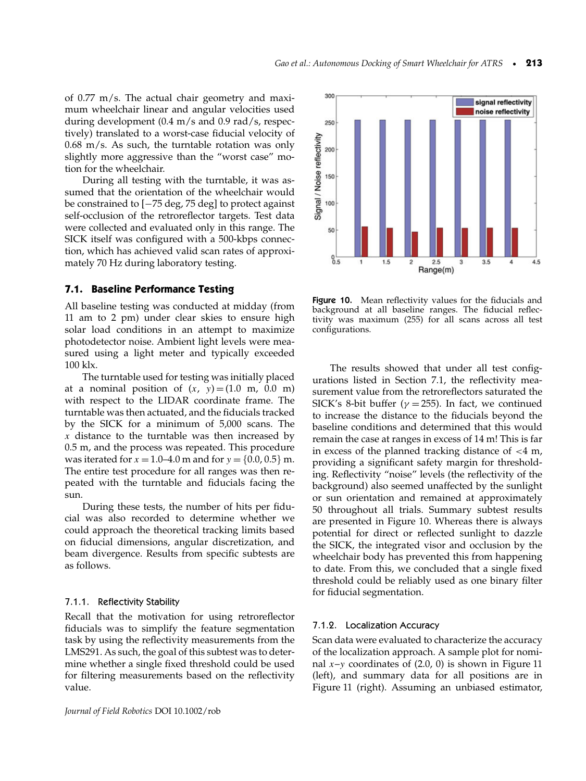of 0.77 m/s. The actual chair geometry and maximum wheelchair linear and angular velocities used during development (0.4 m/s and 0.9 rad/s, respectively) translated to a worst-case fiducial velocity of 0.68 m/s. As such, the turntable rotation was only slightly more aggressive than the "worst case" motion for the wheelchair.

During all testing with the turntable, it was assumed that the orientation of the wheelchair would be constrained to [−75 deg, 75 deg] to protect against self-occlusion of the retroreflector targets. Test data were collected and evaluated only in this range. The SICK itself was configured with a 500-kbps connection, which has achieved valid scan rates of approximately 70 Hz during laboratory testing.

### **7.1. Baseline Performance Testing**

All baseline testing was conducted at midday (from 11 am to 2 pm) under clear skies to ensure high solar load conditions in an attempt to maximize photodetector noise. Ambient light levels were measured using a light meter and typically exceeded 100 klx.

The turntable used for testing was initially placed at a nominal position of  $(x, y) = (1.0 \text{ m}, 0.0 \text{ m})$ with respect to the LIDAR coordinate frame. The turntable was then actuated, and the fiducials tracked by the SICK for a minimum of 5,000 scans. The *x* distance to the turntable was then increased by 0.5 m, and the process was repeated. This procedure was iterated for  $x = 1.0 - 4.0$  m and for  $y = \{0.0, 0.5\}$  m. The entire test procedure for all ranges was then repeated with the turntable and fiducials facing the sun.

During these tests, the number of hits per fiducial was also recorded to determine whether we could approach the theoretical tracking limits based on fiducial dimensions, angular discretization, and beam divergence. Results from specific subtests are as follows.

#### 7.1.1. Reflectivity Stability

Recall that the motivation for using retroreflector fiducials was to simplify the feature segmentation task by using the reflectivity measurements from the LMS291. As such, the goal of this subtest was to determine whether a single fixed threshold could be used for filtering measurements based on the reflectivity value.



Figure 10. Mean reflectivity values for the fiducials and background at all baseline ranges. The fiducial reflectivity was maximum (255) for all scans across all test configurations.

The results showed that under all test configurations listed in Section 7.1, the reflectivity measurement value from the retroreflectors saturated the SICK's 8-bit buffer ( $\gamma$  = 255). In fact, we continued to increase the distance to the fiducials beyond the baseline conditions and determined that this would remain the case at ranges in excess of 14 m! This is far in excess of the planned tracking distance of *<*4 m, providing a significant safety margin for thresholding. Reflectivity "noise" levels (the reflectivity of the background) also seemed unaffected by the sunlight or sun orientation and remained at approximately 50 throughout all trials. Summary subtest results are presented in Figure 10. Whereas there is always potential for direct or reflected sunlight to dazzle the SICK, the integrated visor and occlusion by the wheelchair body has prevented this from happening to date. From this, we concluded that a single fixed threshold could be reliably used as one binary filter for fiducial segmentation.

### 7.1.2. Localization Accuracy

Scan data were evaluated to characterize the accuracy of the localization approach. A sample plot for nominal  $x-y$  coordinates of  $(2.0, 0)$  is shown in Figure 11 (left), and summary data for all positions are in Figure 11 (right). Assuming an unbiased estimator,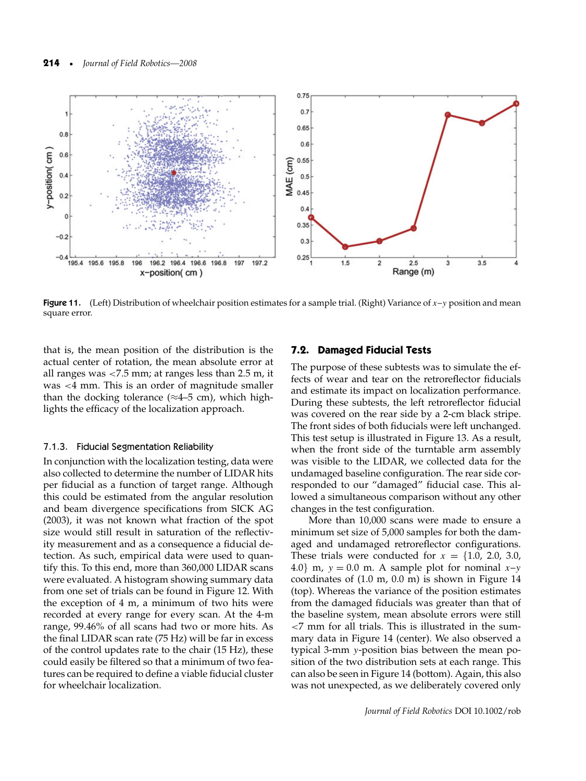

Figure 11. (Left) Distribution of wheelchair position estimates for a sample trial. (Right) Variance of *x*–*y* position and mean square error.

that is, the mean position of the distribution is the actual center of rotation, the mean absolute error at all ranges was *<*7*.*5 mm; at ranges less than 2*.*5 m, it was *<*4 mm. This is an order of magnitude smaller than the docking tolerance ( $\approx$ 4–5 cm), which highlights the efficacy of the localization approach.

#### 7.1.3. Fiducial Segmentation Reliability

In conjunction with the localization testing, data were also collected to determine the number of LIDAR hits per fiducial as a function of target range. Although this could be estimated from the angular resolution and beam divergence specifications from SICK AG (2003), it was not known what fraction of the spot size would still result in saturation of the reflectivity measurement and as a consequence a fiducial detection. As such, empirical data were used to quantify this. To this end, more than 360,000 LIDAR scans were evaluated. A histogram showing summary data from one set of trials can be found in Figure 12. With the exception of 4 m, a minimum of two hits were recorded at every range for every scan. At the 4-m range, 99.46% of all scans had two or more hits. As the final LIDAR scan rate (75 Hz) will be far in excess of the control updates rate to the chair (15 Hz), these could easily be filtered so that a minimum of two features can be required to define a viable fiducial cluster for wheelchair localization.

#### **7.2. Damaged Fiducial Tests**

The purpose of these subtests was to simulate the effects of wear and tear on the retroreflector fiducials and estimate its impact on localization performance. During these subtests, the left retroreflector fiducial was covered on the rear side by a 2-cm black stripe. The front sides of both fiducials were left unchanged. This test setup is illustrated in Figure 13. As a result, when the front side of the turntable arm assembly was visible to the LIDAR, we collected data for the undamaged baseline configuration. The rear side corresponded to our "damaged" fiducial case. This allowed a simultaneous comparison without any other changes in the test configuration.

More than 10,000 scans were made to ensure a minimum set size of 5,000 samples for both the damaged and undamaged retroreflector configurations. These trials were conducted for  $x = \{1.0, 2.0, 3.0, \ldots\}$ 4.0} m,  $y = 0.0$  m. A sample plot for nominal  $x-y$ coordinates of (1.0 m, 0.0 m) is shown in Figure 14 (top). Whereas the variance of the position estimates from the damaged fiducials was greater than that of the baseline system, mean absolute errors were still *<*7 mm for all trials. This is illustrated in the summary data in Figure 14 (center). We also observed a typical 3-mm *y*-position bias between the mean position of the two distribution sets at each range. This can also be seen in Figure 14 (bottom). Again, this also was not unexpected, as we deliberately covered only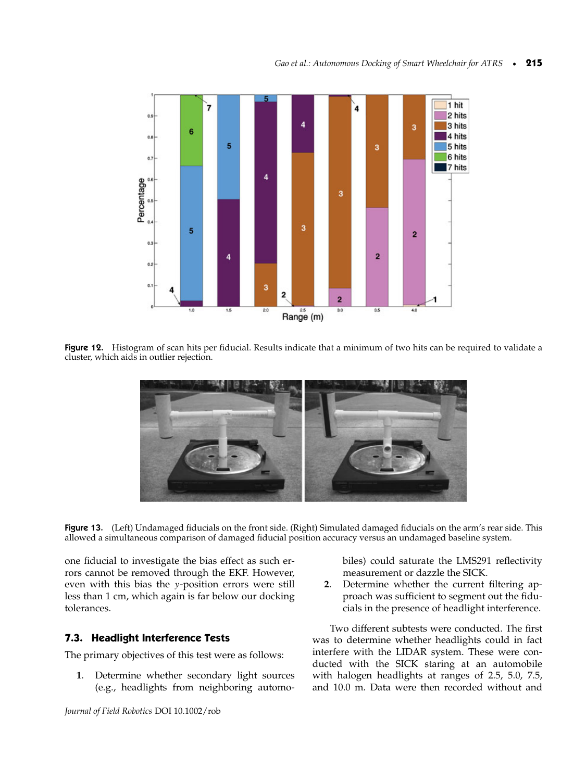

Figure 12. Histogram of scan hits per fiducial. Results indicate that a minimum of two hits can be required to validate a cluster, which aids in outlier rejection.



Figure 13. (Left) Undamaged fiducials on the front side. (Right) Simulated damaged fiducials on the arm's rear side. This allowed a simultaneous comparison of damaged fiducial position accuracy versus an undamaged baseline system.

one fiducial to investigate the bias effect as such errors cannot be removed through the EKF. However, even with this bias the *y*-position errors were still less than 1 cm, which again is far below our docking tolerances.

## **7.3. Headlight Interference Tests**

The primary objectives of this test were as follows:

**1**. Determine whether secondary light sources (e.g., headlights from neighboring automobiles) could saturate the LMS291 reflectivity measurement or dazzle the SICK.

**2**. Determine whether the current filtering approach was sufficient to segment out the fiducials in the presence of headlight interference.

Two different subtests were conducted. The first was to determine whether headlights could in fact interfere with the LIDAR system. These were conducted with the SICK staring at an automobile with halogen headlights at ranges of 2.5, 5.0, 7.5, and 10.0 m. Data were then recorded without and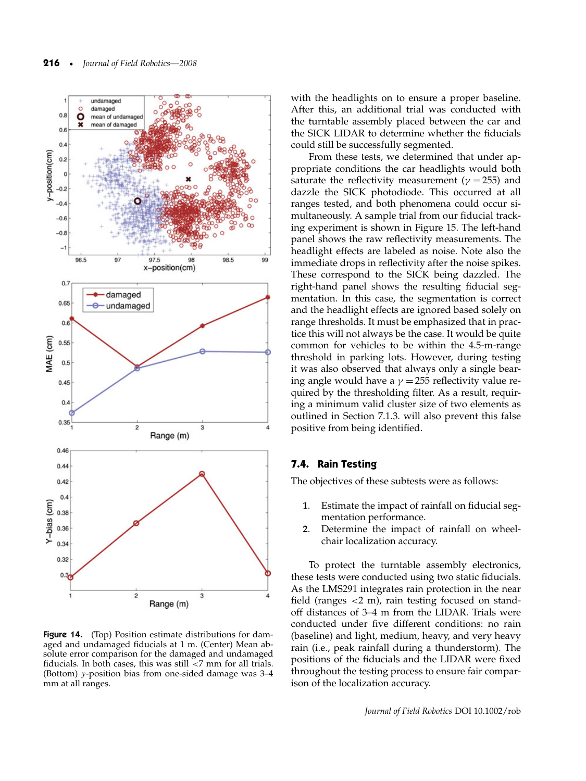

Figure 14. (Top) Position estimate distributions for damaged and undamaged fiducials at 1 m. (Center) Mean absolute error comparison for the damaged and undamaged fiducials. In both cases, this was still *<*7 mm for all trials. (Bottom) *y*-position bias from one-sided damage was 3–4 mm at all ranges.

with the headlights on to ensure a proper baseline. After this, an additional trial was conducted with the turntable assembly placed between the car and the SICK LIDAR to determine whether the fiducials could still be successfully segmented.

From these tests, we determined that under appropriate conditions the car headlights would both saturate the reflectivity measurement ( $\gamma$  = 255) and dazzle the SICK photodiode. This occurred at all ranges tested, and both phenomena could occur simultaneously. A sample trial from our fiducial tracking experiment is shown in Figure 15. The left-hand panel shows the raw reflectivity measurements. The headlight effects are labeled as noise. Note also the immediate drops in reflectivity after the noise spikes. These correspond to the SICK being dazzled. The right-hand panel shows the resulting fiducial segmentation. In this case, the segmentation is correct and the headlight effects are ignored based solely on range thresholds. It must be emphasized that in practice this will not always be the case. It would be quite common for vehicles to be within the 4.5-m-range threshold in parking lots. However, during testing it was also observed that always only a single bearing angle would have a  $\gamma = 255$  reflectivity value required by the thresholding filter. As a result, requiring a minimum valid cluster size of two elements as outlined in Section 7.1.3. will also prevent this false positive from being identified.

### **7.4. Rain Testing**

The objectives of these subtests were as follows:

- **1**. Estimate the impact of rainfall on fiducial segmentation performance.
- **2**. Determine the impact of rainfall on wheelchair localization accuracy.

To protect the turntable assembly electronics, these tests were conducted using two static fiducials. As the LMS291 integrates rain protection in the near field (ranges *<*2 m), rain testing focused on standoff distances of 3–4 m from the LIDAR. Trials were conducted under five different conditions: no rain (baseline) and light, medium, heavy, and very heavy rain (i.e., peak rainfall during a thunderstorm). The positions of the fiducials and the LIDAR were fixed throughout the testing process to ensure fair comparison of the localization accuracy.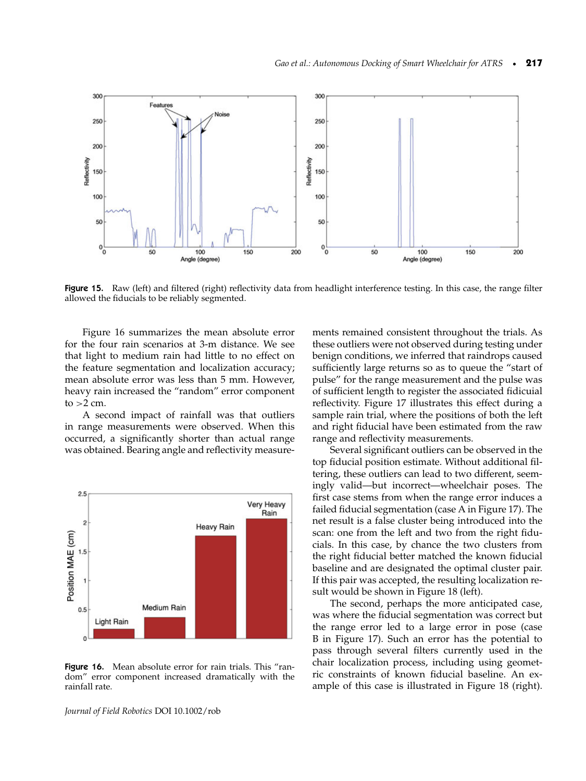

Figure 15. Raw (left) and filtered (right) reflectivity data from headlight interference testing. In this case, the range filter allowed the fiducials to be reliably segmented.

Figure 16 summarizes the mean absolute error for the four rain scenarios at 3-m distance. We see that light to medium rain had little to no effect on the feature segmentation and localization accuracy; mean absolute error was less than 5 mm. However, heavy rain increased the "random" error component to *>*2 cm.

A second impact of rainfall was that outliers in range measurements were observed. When this occurred, a significantly shorter than actual range was obtained. Bearing angle and reflectivity measure-



Figure 16. Mean absolute error for rain trials. This "random" error component increased dramatically with the rainfall rate.

*Journal of Field Robotics* DOI 10.1002/rob

ments remained consistent throughout the trials. As these outliers were not observed during testing under benign conditions, we inferred that raindrops caused sufficiently large returns so as to queue the "start of pulse" for the range measurement and the pulse was of sufficient length to register the associated fidicuial reflectivity. Figure 17 illustrates this effect during a sample rain trial, where the positions of both the left and right fiducial have been estimated from the raw range and reflectivity measurements.

Several significant outliers can be observed in the top fiducial position estimate. Without additional filtering, these outliers can lead to two different, seemingly valid—but incorrect—wheelchair poses. The first case stems from when the range error induces a failed fiducial segmentation (case A in Figure 17). The net result is a false cluster being introduced into the scan: one from the left and two from the right fiducials. In this case, by chance the two clusters from the right fiducial better matched the known fiducial baseline and are designated the optimal cluster pair. If this pair was accepted, the resulting localization result would be shown in Figure 18 (left).

The second, perhaps the more anticipated case, was where the fiducial segmentation was correct but the range error led to a large error in pose (case B in Figure 17). Such an error has the potential to pass through several filters currently used in the chair localization process, including using geometric constraints of known fiducial baseline. An example of this case is illustrated in Figure 18 (right).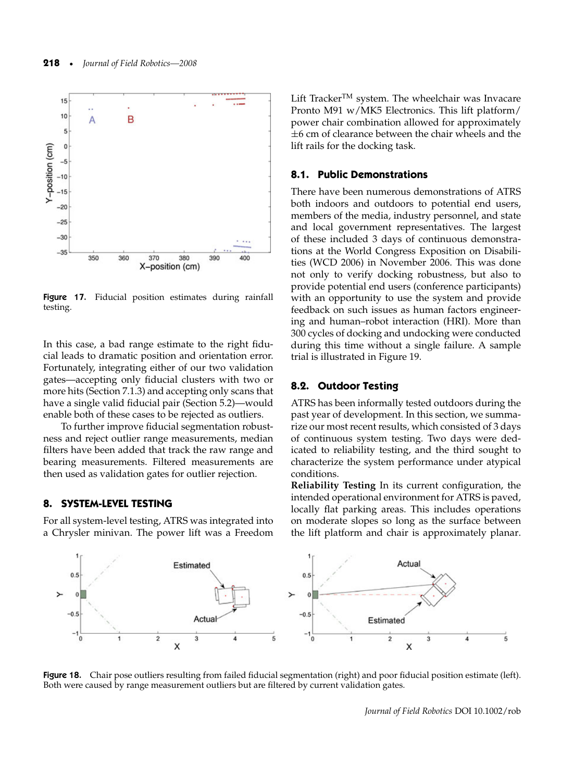

Figure 17. Fiducial position estimates during rainfall testing.

In this case, a bad range estimate to the right fiducial leads to dramatic position and orientation error. Fortunately, integrating either of our two validation gates—accepting only fiducial clusters with two or more hits (Section 7.1.3) and accepting only scans that have a single valid fiducial pair (Section 5.2)—would enable both of these cases to be rejected as outliers.

To further improve fiducial segmentation robustness and reject outlier range measurements, median filters have been added that track the raw range and bearing measurements. Filtered measurements are then used as validation gates for outlier rejection.

### **8. SYSTEM-LEVEL TESTING**

For all system-level testing, ATRS was integrated into a Chrysler minivan. The power lift was a Freedom Lift Tracker<sup>TM</sup> system. The wheelchair was Invacare Pronto M91 w/MK5 Electronics. This lift platform/ power chair combination allowed for approximately ±6 cm of clearance between the chair wheels and the lift rails for the docking task.

### **8.1. Public Demonstrations**

There have been numerous demonstrations of ATRS both indoors and outdoors to potential end users, members of the media, industry personnel, and state and local government representatives. The largest of these included 3 days of continuous demonstrations at the World Congress Exposition on Disabilities (WCD 2006) in November 2006. This was done not only to verify docking robustness, but also to provide potential end users (conference participants) with an opportunity to use the system and provide feedback on such issues as human factors engineering and human–robot interaction (HRI). More than 300 cycles of docking and undocking were conducted during this time without a single failure. A sample trial is illustrated in Figure 19.

## **8.2. Outdoor Testing**

ATRS has been informally tested outdoors during the past year of development. In this section, we summarize our most recent results, which consisted of 3 days of continuous system testing. Two days were dedicated to reliability testing, and the third sought to characterize the system performance under atypical conditions.

**Reliability Testing** In its current configuration, the intended operational environment for ATRS is paved, locally flat parking areas. This includes operations on moderate slopes so long as the surface between the lift platform and chair is approximately planar.



Figure 18. Chair pose outliers resulting from failed fiducial segmentation (right) and poor fiducial position estimate (left). Both were caused by range measurement outliers but are filtered by current validation gates.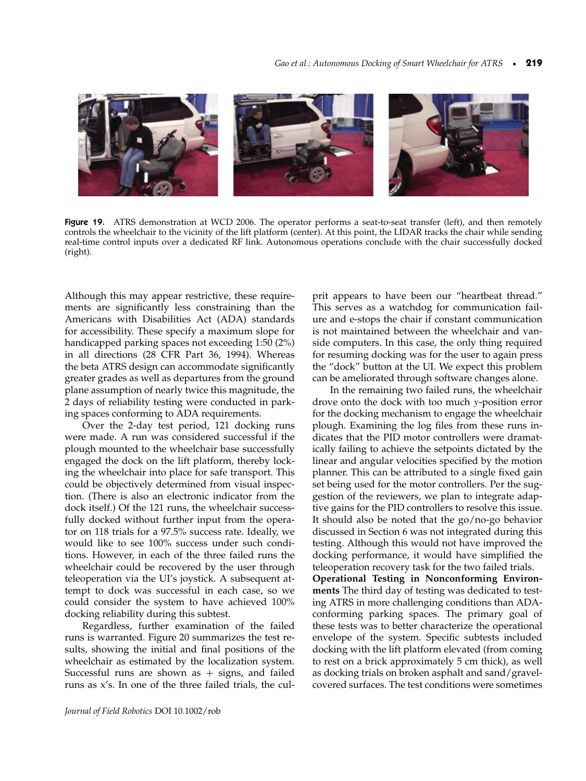

Figure 19. ATRS demonstration at WCD 2006. The operator performs a seat-to-seat transfer (left), and then remotely controls the wheelchair to the vicinity of the lift platform (center). At this point, the LIDAR tracks the chair while sending real-time control inputs over a dedicated RF link. Autonomous operations conclude with the chair successfully docked (right).

Although this may appear restrictive, these requirements are significantly less constraining than the Americans with Disabilities Act (ADA) standards for accessibility. These specify a maximum slope for handicapped parking spaces not exceeding 1:50 (2%) in all directions (28 CFR Part 36, 1994). Whereas the beta ATRS design can accommodate significantly greater grades as well as departures from the ground plane assumption of nearly twice this magnitude, the 2 days of reliability testing were conducted in parking spaces conforming to ADA requirements.

Over the 2-day test period, 121 docking runs were made. A run was considered successful if the plough mounted to the wheelchair base successfully engaged the dock on the lift platform, thereby locking the wheelchair into place for safe transport. This could be objectively determined from visual inspection. (There is also an electronic indicator from the dock itself.) Of the 121 runs, the wheelchair successfully docked without further input from the operator on 118 trials for a 97.5% success rate. Ideally, we would like to see 100% success under such conditions. However, in each of the three failed runs the wheelchair could be recovered by the user through teleoperation via the UI's joystick. A subsequent attempt to dock was successful in each case, so we could consider the system to have achieved 100% docking reliability during this subtest.

Regardless, further examination of the failed runs is warranted. Figure 20 summarizes the test results, showing the initial and final positions of the wheelchair as estimated by the localization system. Successful runs are shown as  $+$  signs, and failed runs as x's. In one of the three failed trials, the culprit appears to have been our "heartbeat thread." This serves as a watchdog for communication failure and e-stops the chair if constant communication is not maintained between the wheelchair and vanside computers. In this case, the only thing required for resuming docking was for the user to again press the "dock" button at the UI. We expect this problem can be ameliorated through software changes alone.

In the remaining two failed runs, the wheelchair drove onto the dock with too much *y*-position error for the docking mechanism to engage the wheelchair plough. Examining the log files from these runs indicates that the PID motor controllers were dramatically failing to achieve the setpoints dictated by the linear and angular velocities specified by the motion planner. This can be attributed to a single fixed gain set being used for the motor controllers. Per the suggestion of the reviewers, we plan to integrate adaptive gains for the PID controllers to resolve this issue. It should also be noted that the go/no-go behavior discussed in Section 6 was not integrated during this testing. Although this would not have improved the docking performance, it would have simplified the teleoperation recovery task for the two failed trials. **Operational Testing in Nonconforming Environments** The third day of testing was dedicated to testing ATRS in more challenging conditions than ADAconforming parking spaces. The primary goal of these tests was to better characterize the operational envelope of the system. Specific subtests included docking with the lift platform elevated (from coming to rest on a brick approximately 5 cm thick), as well as docking trials on broken asphalt and sand/gravel-

covered surfaces. The test conditions were sometimes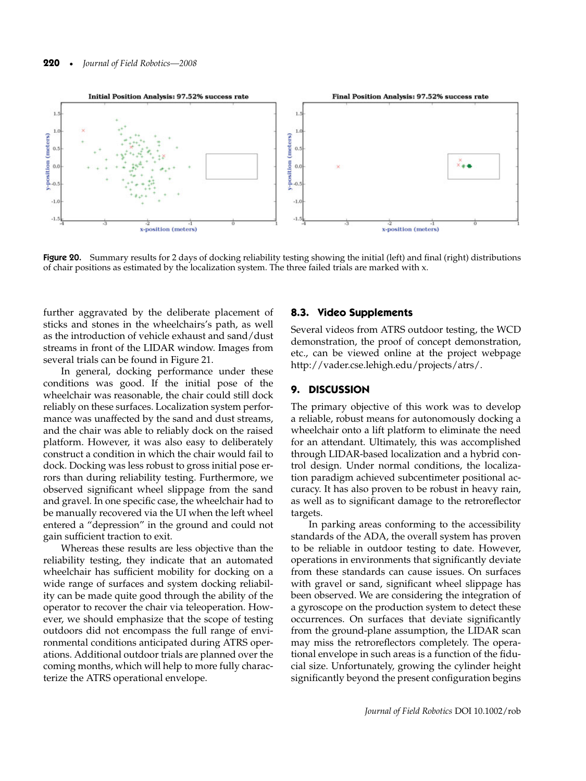

Figure 20. Summary results for 2 days of docking reliability testing showing the initial (left) and final (right) distributions of chair positions as estimated by the localization system. The three failed trials are marked with x.

further aggravated by the deliberate placement of sticks and stones in the wheelchairs's path, as well as the introduction of vehicle exhaust and sand/dust streams in front of the LIDAR window. Images from several trials can be found in Figure 21.

In general, docking performance under these conditions was good. If the initial pose of the wheelchair was reasonable, the chair could still dock reliably on these surfaces. Localization system performance was unaffected by the sand and dust streams, and the chair was able to reliably dock on the raised platform. However, it was also easy to deliberately construct a condition in which the chair would fail to dock. Docking was less robust to gross initial pose errors than during reliability testing. Furthermore, we observed significant wheel slippage from the sand and gravel. In one specific case, the wheelchair had to be manually recovered via the UI when the left wheel entered a "depression" in the ground and could not gain sufficient traction to exit.

Whereas these results are less objective than the reliability testing, they indicate that an automated wheelchair has sufficient mobility for docking on a wide range of surfaces and system docking reliability can be made quite good through the ability of the operator to recover the chair via teleoperation. However, we should emphasize that the scope of testing outdoors did not encompass the full range of environmental conditions anticipated during ATRS operations. Additional outdoor trials are planned over the coming months, which will help to more fully characterize the ATRS operational envelope.

#### **8.3. Video Supplements**

Several videos from ATRS outdoor testing, the WCD demonstration, the proof of concept demonstration, etc., can be viewed online at the project webpage http://vader.cse.lehigh.edu/projects/atrs/.

#### **9. DISCUSSION**

The primary objective of this work was to develop a reliable, robust means for autonomously docking a wheelchair onto a lift platform to eliminate the need for an attendant. Ultimately, this was accomplished through LIDAR-based localization and a hybrid control design. Under normal conditions, the localization paradigm achieved subcentimeter positional accuracy. It has also proven to be robust in heavy rain, as well as to significant damage to the retroreflector targets.

In parking areas conforming to the accessibility standards of the ADA, the overall system has proven to be reliable in outdoor testing to date. However, operations in environments that significantly deviate from these standards can cause issues. On surfaces with gravel or sand, significant wheel slippage has been observed. We are considering the integration of a gyroscope on the production system to detect these occurrences. On surfaces that deviate significantly from the ground-plane assumption, the LIDAR scan may miss the retroreflectors completely. The operational envelope in such areas is a function of the fiducial size. Unfortunately, growing the cylinder height significantly beyond the present configuration begins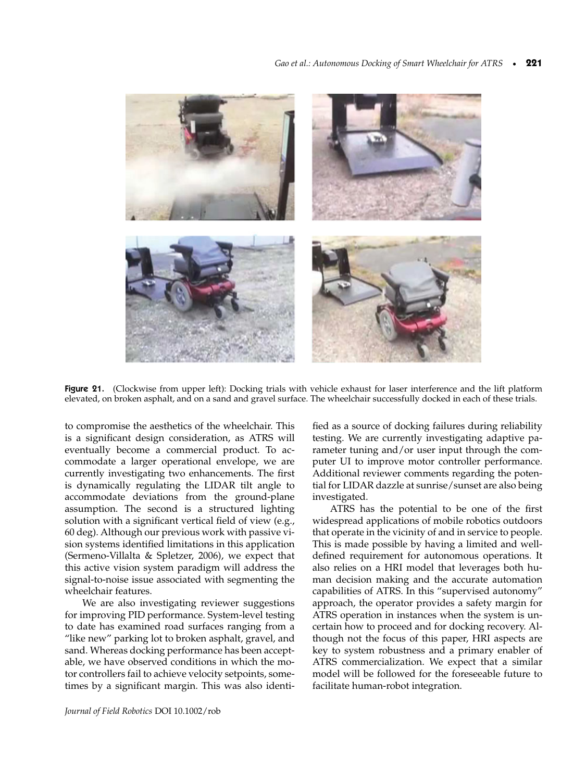

Figure 21. (Clockwise from upper left): Docking trials with vehicle exhaust for laser interference and the lift platform elevated, on broken asphalt, and on a sand and gravel surface. The wheelchair successfully docked in each of these trials.

to compromise the aesthetics of the wheelchair. This is a significant design consideration, as ATRS will eventually become a commercial product. To accommodate a larger operational envelope, we are currently investigating two enhancements. The first is dynamically regulating the LIDAR tilt angle to accommodate deviations from the ground-plane assumption. The second is a structured lighting solution with a significant vertical field of view (e.g., 60 deg). Although our previous work with passive vision systems identified limitations in this application (Sermeno-Villalta & Spletzer, 2006), we expect that this active vision system paradigm will address the signal-to-noise issue associated with segmenting the wheelchair features.

We are also investigating reviewer suggestions for improving PID performance. System-level testing to date has examined road surfaces ranging from a "like new" parking lot to broken asphalt, gravel, and sand. Whereas docking performance has been acceptable, we have observed conditions in which the motor controllers fail to achieve velocity setpoints, sometimes by a significant margin. This was also identi-

*Journal of Field Robotics* DOI 10.1002/rob

fied as a source of docking failures during reliability testing. We are currently investigating adaptive parameter tuning and/or user input through the computer UI to improve motor controller performance. Additional reviewer comments regarding the potential for LIDAR dazzle at sunrise/sunset are also being investigated.

ATRS has the potential to be one of the first widespread applications of mobile robotics outdoors that operate in the vicinity of and in service to people. This is made possible by having a limited and welldefined requirement for autonomous operations. It also relies on a HRI model that leverages both human decision making and the accurate automation capabilities of ATRS. In this "supervised autonomy" approach, the operator provides a safety margin for ATRS operation in instances when the system is uncertain how to proceed and for docking recovery. Although not the focus of this paper, HRI aspects are key to system robustness and a primary enabler of ATRS commercialization. We expect that a similar model will be followed for the foreseeable future to facilitate human-robot integration.